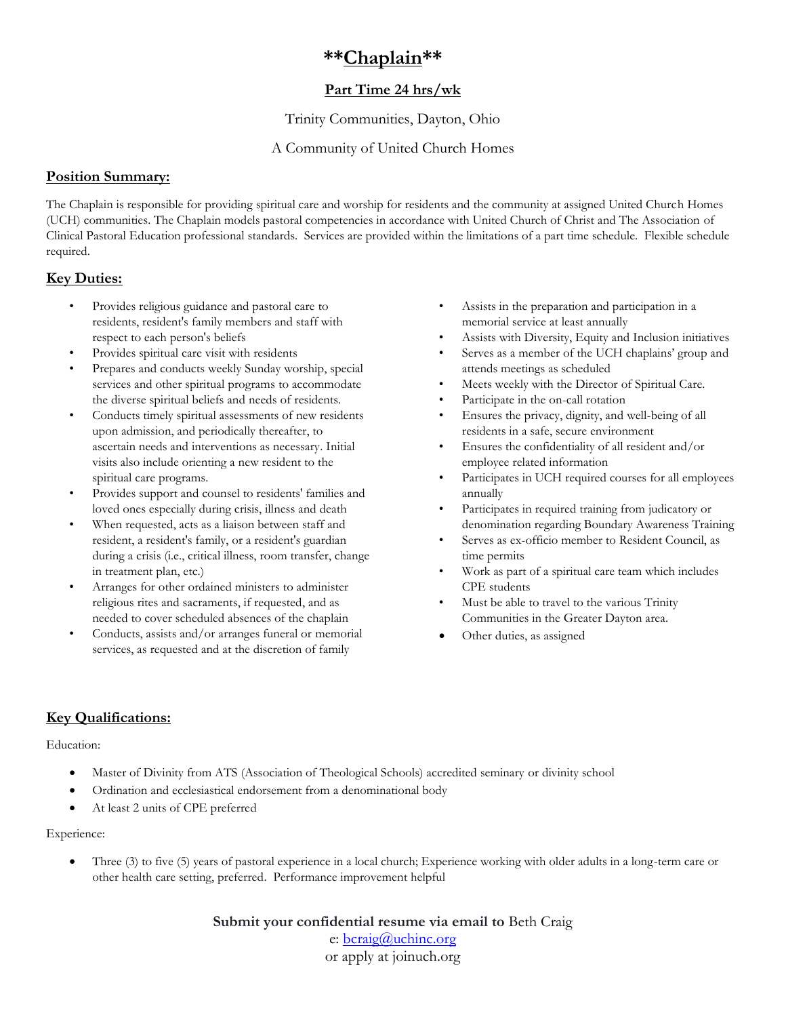# **\*\*Chaplain\*\***

## **Part Time 24 hrs/wk**

Trinity Communities, Dayton, Ohio

### A Community of United Church Homes

#### **Position Summary:**

The Chaplain is responsible for providing spiritual care and worship for residents and the community at assigned United Church Homes (UCH) communities. The Chaplain models pastoral competencies in accordance with United Church of Christ and The Association of Clinical Pastoral Education professional standards. Services are provided within the limitations of a part time schedule. Flexible schedule required.

### **Key Duties:**

- Provides religious guidance and pastoral care to residents, resident's family members and staff with respect to each person's beliefs
- Provides spiritual care visit with residents
- Prepares and conducts weekly Sunday worship, special services and other spiritual programs to accommodate the diverse spiritual beliefs and needs of residents.
- Conducts timely spiritual assessments of new residents upon admission, and periodically thereafter, to ascertain needs and interventions as necessary. Initial visits also include orienting a new resident to the spiritual care programs.
- Provides support and counsel to residents' families and loved ones especially during crisis, illness and death
- When requested, acts as a liaison between staff and resident, a resident's family, or a resident's guardian during a crisis (i.e., critical illness, room transfer, change in treatment plan, etc.)
- Arranges for other ordained ministers to administer religious rites and sacraments, if requested, and as needed to cover scheduled absences of the chaplain
- Conducts, assists and/or arranges funeral or memorial services, as requested and at the discretion of family
- Assists in the preparation and participation in a memorial service at least annually
- Assists with Diversity, Equity and Inclusion initiatives
- Serves as a member of the UCH chaplains' group and attends meetings as scheduled
- Meets weekly with the Director of Spiritual Care.
- Participate in the on-call rotation
- Ensures the privacy, dignity, and well-being of all residents in a safe, secure environment
- Ensures the confidentiality of all resident and/or employee related information
- Participates in UCH required courses for all employees annually
- Participates in required training from judicatory or denomination regarding Boundary Awareness Training
- Serves as ex-officio member to Resident Council, as time permits
- Work as part of a spiritual care team which includes CPE students
- Must be able to travel to the various Trinity Communities in the Greater Dayton area.
- Other duties, as assigned

## **Key Qualifications:**

#### Education:

- Master of Divinity from ATS (Association of Theological Schools) accredited seminary or divinity school
- Ordination and ecclesiastical endorsement from a denominational body
- At least 2 units of CPE preferred

#### Experience:

• Three (3) to five (5) years of pastoral experience in a local church; Experience working with older adults in a long-term care or other health care setting, preferred. Performance improvement helpful

> **Submit your confidential resume via email to** Beth Craig e: [bcraig@uchinc.org](mailto:bcraig@uchinc.org) or apply at joinuch.org